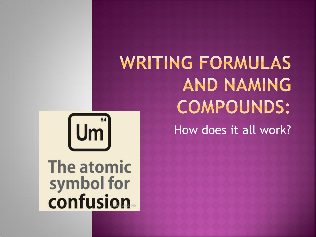



# The atomic symbol for<br>confusion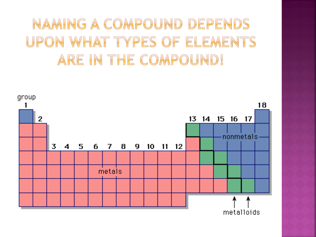### NAMING A COMPOUND DEPENDS UPON WHAT TYPES OF ELEMENTS ARE IN THE COMPOUND!

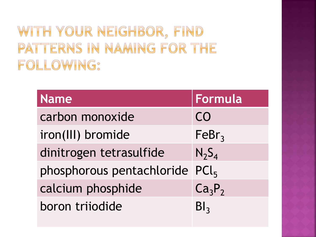WITH YOUR NEIGHBOR, FIND PATTERNS IN NAMING FOR THE FOLLOWING:

| <b>Name</b>                    | Formula                        |
|--------------------------------|--------------------------------|
| carbon monoxide                | CO                             |
| iron(III) bromide              | FeBr <sub>3</sub>              |
| dinitrogen tetrasulfide        | $N_2S_4$                       |
| phosphorous pentachloride PCl5 |                                |
| calcium phosphide              | Ca <sub>3</sub> P <sub>2</sub> |
| boron trijodide                | Bl <sub>3</sub>                |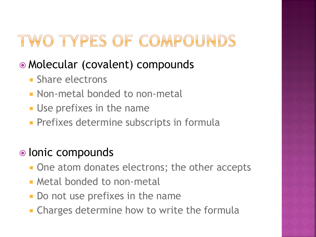# TWO TYPES OF COMPOUNDS

#### Molecular (covalent) compounds

- **Share electrons**
- Non-metal bonded to non-metal
- **Use prefixes in the name**
- **Prefixes determine subscripts in formula**

#### • Ionic compounds

- One atom donates electrons; the other accepts
- **Metal bonded to non-metal**
- **Do not use prefixes in the name**
- **EXA** Charges determine how to write the formula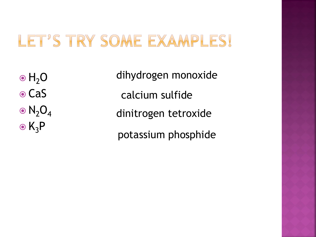#### LET'S TRY SOME EXAMPLES!

 $\bullet$  H<sub>2</sub>O

**⊙CaS** 

 $\odot$  N<sub>2</sub>O<sub>4</sub>

 $\odot$  K<sub>3</sub>P

dihydrogen monoxide calcium sulfide dinitrogen tetroxide potassium phosphide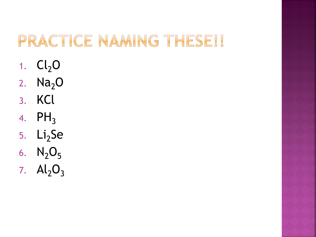# PRACTICE NAMING THESE!!

- 1.  $Cl<sub>2</sub>O$
- 2.  $Na<sub>2</sub>O$
- 3. KCl
- 4.  $PH_3$
- 5. Li<sub>2</sub>Se
- 6.  $N_2O_5$
- 7.  $Al_2O_3$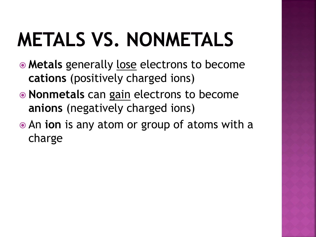# **METALS VS. NONMETALS**

- **Metals** generally lose electrons to become **cations** (positively charged ions)
- **Nonmetals** can gain electrons to become **anions** (negatively charged ions)
- An **ion** is any atom or group of atoms with a charge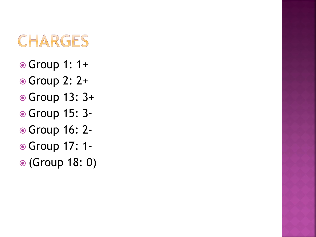### CHARGES

- Group 1: 1+
- Group 2: 2+
- Group 13: 3+
- Group 15: 3-
- Group 16: 2-
- Group 17: 1-
- (Group 18: 0)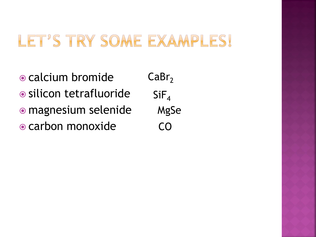#### LET'S TRY SOME EXAMPLES!

• calcium bromide silicon tetrafluoride magnesium selenide carbon monoxide

 $CaBr<sub>2</sub>$  $SiF<sub>4</sub>$ MgSe CO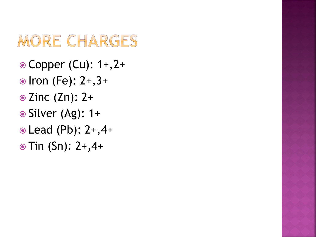# MORE CHARGES

- Copper (Cu): 1+,2+
- $\odot$  Iron (Fe): 2+, 3+
- $\odot$  Zinc (Zn): 2+
- $\odot$  Silver (Ag): 1+
- Lead (Pb): 2+,4+
- $\odot$  Tin (Sn): 2+,4+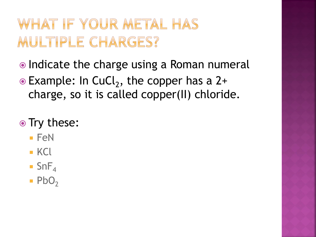## WHAT IF YOUR METAL HAS MULTIPLE CHARGES?

- Indicate the charge using a Roman numeral
- $\bullet$  Example: In CuCl<sub>2</sub>, the copper has a 2+ charge, so it is called copper(II) chloride.

#### • Try these:

- $\blacksquare$  FeN
- $KCl$
- $\blacksquare$  SnF<sub>4</sub>
- $\blacksquare$  PbO<sub>2</sub>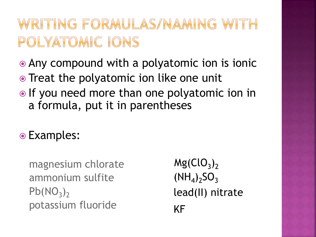#### WRITING FORMULAS/NAMING WITH POLYATOMIC IONS

- Any compound with a polyatomic ion is ionic
- Treat the polyatomic ion like one unit
- If you need more than one polyatomic ion in a formula, put it in parentheses
- Examples:

magnesium chlorate ammonium sulfite  $Pb(NO<sub>3</sub>)<sub>2</sub>$ potassium fluoride

 $Mg(CIO<sub>3</sub>)<sub>2</sub>$  $(NH_4)_2SO_3$ KF lead(II) nitrate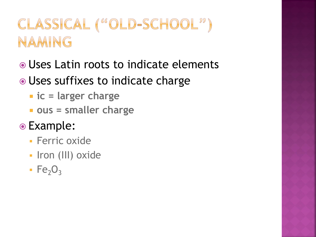## CLASSICAL ("OLD-SCHOOL") NAMING

- Uses Latin roots to indicate elements
- Uses suffixes to indicate charge
	- **ic = larger charge**
	- **ous = smaller charge**
- Example:
	- **Ferric oxide**
	- Iron (III) oxide
	- $\cdot$  Fe<sub>2</sub>O<sub>3</sub>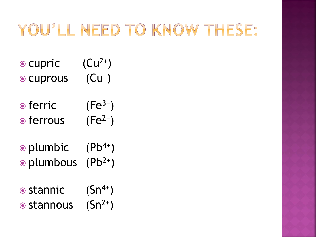## YOU'LL NEED TO KNOW THESE:

- $\bullet$  cupric  $(Cu^{2+})$
- $\odot$  cuprous  $(Cu^+)$
- $\bullet$  ferric (Fe<sup>3+</sup>)  $\bullet$  ferrous (Fe<sup>2+</sup>)
- $\odot$  plumbic (Pb<sup>4+</sup>)  $\odot$  plumbous (Pb<sup>2+</sup>)
- $\bullet$  stannic  $(Sn^{4+})$  $\odot$  stannous  $(Sn^{2+})$